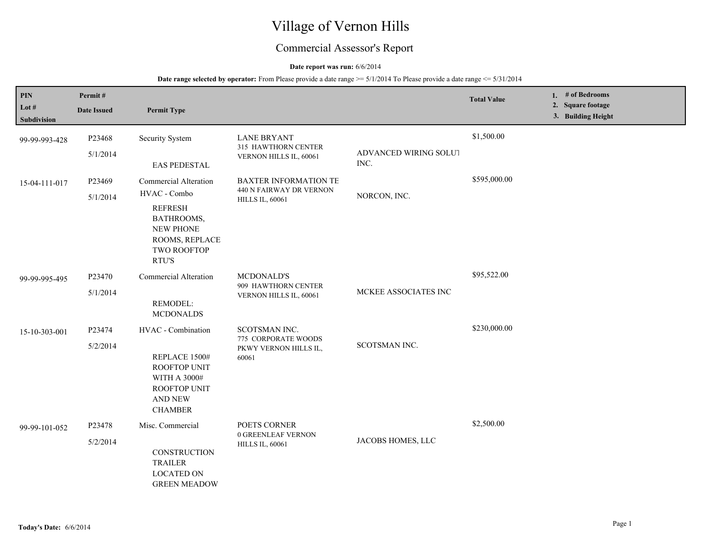# Village of Vernon Hills

## Commercial Assessor's Report

### **Date report was run:** 6/6/2014

| PIN<br>Lot $#$<br>Subdivision | Permit#<br><b>Date Issued</b> | <b>Permit Type</b>                                                                                                                                |                                                                                   |                               | <b>Total Value</b> | 1. # of Bedrooms<br>2. Square footage<br>3. Building Height |
|-------------------------------|-------------------------------|---------------------------------------------------------------------------------------------------------------------------------------------------|-----------------------------------------------------------------------------------|-------------------------------|--------------------|-------------------------------------------------------------|
| 99-99-993-428                 | P23468<br>5/1/2014            | <b>Security System</b><br><b>EAS PEDESTAL</b>                                                                                                     | <b>LANE BRYANT</b><br>315 HAWTHORN CENTER<br>VERNON HILLS IL, 60061               | ADVANCED WIRING SOLUT<br>INC. | \$1,500.00         |                                                             |
| 15-04-111-017                 | P23469<br>5/1/2014            | <b>Commercial Alteration</b><br>HVAC - Combo<br><b>REFRESH</b><br>BATHROOMS,<br><b>NEW PHONE</b><br>ROOMS, REPLACE<br><b>TWO ROOFTOP</b><br>RTU'S | <b>BAXTER INFORMATION TE</b><br>440 N FAIRWAY DR VERNON<br><b>HILLS IL, 60061</b> | NORCON, INC.                  | \$595,000.00       |                                                             |
| 99-99-995-495                 | P23470<br>5/1/2014            | <b>Commercial Alteration</b><br>REMODEL:<br><b>MCDONALDS</b>                                                                                      | <b>MCDONALD'S</b><br>909 HAWTHORN CENTER<br>VERNON HILLS IL, 60061                | MCKEE ASSOCIATES INC          | \$95,522.00        |                                                             |
| 15-10-303-001                 | P23474<br>5/2/2014            | HVAC - Combination<br>REPLACE 1500#<br><b>ROOFTOP UNIT</b><br>WITH A 3000#<br>ROOFTOP UNIT<br><b>AND NEW</b><br><b>CHAMBER</b>                    | SCOTSMAN INC.<br>775 CORPORATE WOODS<br>PKWY VERNON HILLS IL,<br>60061            | SCOTSMAN INC.                 | \$230,000.00       |                                                             |
| 99-99-101-052                 | P23478<br>5/2/2014            | Misc. Commercial<br>CONSTRUCTION<br><b>TRAILER</b><br><b>LOCATED ON</b><br><b>GREEN MEADOW</b>                                                    | POETS CORNER<br>0 GREENLEAF VERNON<br><b>HILLS IL, 60061</b>                      | JACOBS HOMES, LLC             | \$2,500.00         |                                                             |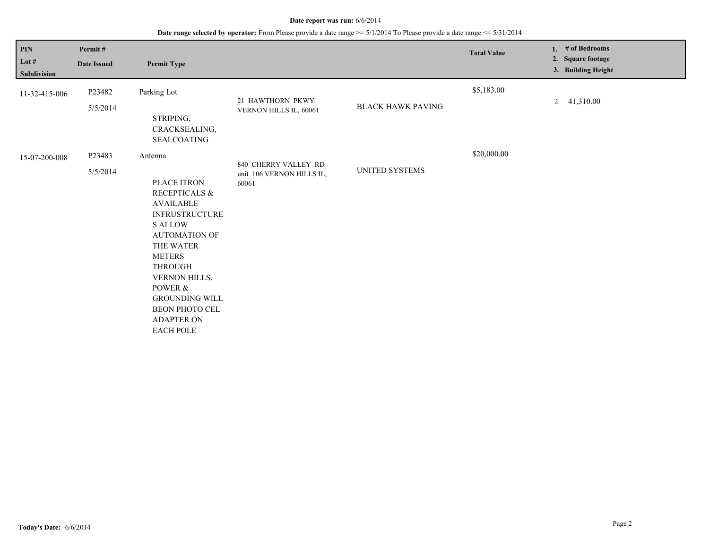| <b>PIN</b><br>Lot $#$<br>Subdivision | Permit#<br><b>Date Issued</b> | <b>Permit Type</b>                                                                                                                                                                                                                                                                                                     |                                                            |                          | <b>Total Value</b> | 1. $#$ of Bedrooms<br>2. Square footage<br>3. Building Height |
|--------------------------------------|-------------------------------|------------------------------------------------------------------------------------------------------------------------------------------------------------------------------------------------------------------------------------------------------------------------------------------------------------------------|------------------------------------------------------------|--------------------------|--------------------|---------------------------------------------------------------|
| 11-32-415-006                        | P23482<br>5/5/2014            | Parking Lot<br>STRIPING,<br>CRACKSEALING,<br><b>SEALCOATING</b>                                                                                                                                                                                                                                                        | 21 HAWTHORN PKWY<br>VERNON HILLS IL, 60061                 | <b>BLACK HAWK PAVING</b> | \$5,183.00         | 2. $41,310.00$                                                |
| 15-07-200-008                        | P23483<br>5/5/2014            | Antenna<br>PLACE ITRON<br><b>RECEPTICALS &amp;</b><br><b>AVAILABLE</b><br><b>INFRUSTRUCTURE</b><br><b>SALLOW</b><br><b>AUTOMATION OF</b><br>THE WATER<br><b>METERS</b><br><b>THROUGH</b><br><b>VERNON HILLS.</b><br>POWER &<br><b>GROUNDING WILL</b><br><b>BEON PHOTO CEL</b><br><b>ADAPTER ON</b><br><b>EACH POLE</b> | 840 CHERRY VALLEY RD<br>unit 106 VERNON HILLS IL,<br>60061 | UNITED SYSTEMS           | \$20,000.00        |                                                               |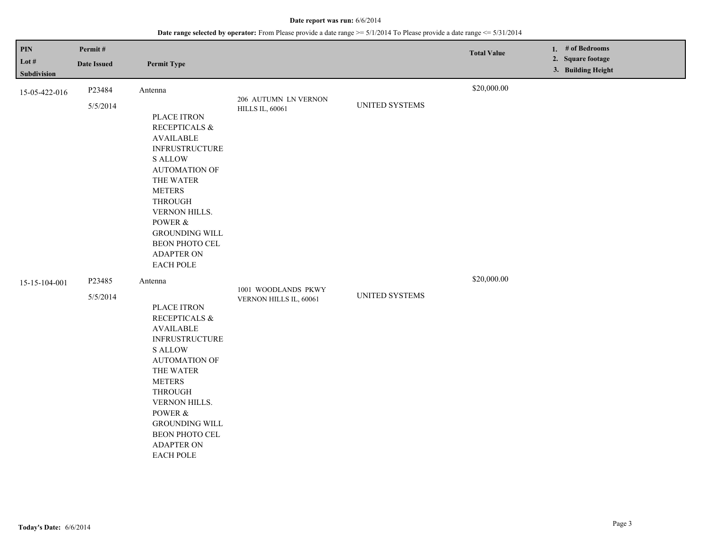| <b>PIN</b><br>Lot $#$<br>Subdivision | Permit#<br><b>Date Issued</b> | <b>Permit Type</b>                                                                                                                                                                                                                                                                             |                                                |                | <b>Total Value</b> | 1. # of Bedrooms<br>2. Square footage<br>3. Building Height |
|--------------------------------------|-------------------------------|------------------------------------------------------------------------------------------------------------------------------------------------------------------------------------------------------------------------------------------------------------------------------------------------|------------------------------------------------|----------------|--------------------|-------------------------------------------------------------|
| 15-05-422-016                        | P23484<br>5/5/2014            | Antenna<br>PLACE ITRON<br>RECEPTICALS &<br><b>AVAILABLE</b><br><b>INFRUSTRUCTURE</b><br><b>S ALLOW</b><br><b>AUTOMATION OF</b><br>THE WATER<br><b>METERS</b><br><b>THROUGH</b><br>VERNON HILLS.<br>POWER &<br><b>GROUNDING WILL</b><br>BEON PHOTO CEL<br><b>ADAPTER ON</b><br><b>EACH POLE</b> | 206 AUTUMN LN VERNON<br><b>HILLS IL, 60061</b> | UNITED SYSTEMS | \$20,000.00        |                                                             |
| 15-15-104-001                        | P23485<br>5/5/2014            | Antenna<br>PLACE ITRON<br>RECEPTICALS &<br><b>AVAILABLE</b><br><b>INFRUSTRUCTURE</b><br><b>S ALLOW</b><br><b>AUTOMATION OF</b><br>THE WATER<br><b>METERS</b><br><b>THROUGH</b><br>VERNON HILLS.<br>POWER &<br><b>GROUNDING WILL</b><br>BEON PHOTO CEL<br><b>ADAPTER ON</b><br>EACH POLE        | 1001 WOODLANDS PKWY<br>VERNON HILLS IL, 60061  | UNITED SYSTEMS | \$20,000.00        |                                                             |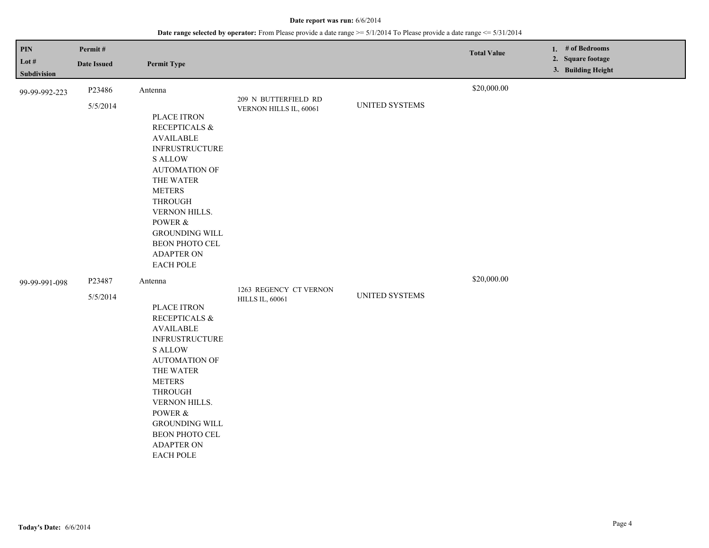| PIN<br>Lot $#$<br>Subdivision | Permit#<br><b>Date Issued</b> | <b>Permit Type</b>                                                                                                                                                                                                                                                                             |                                                  |                | <b>Total Value</b> | 1. # of Bedrooms<br>2. Square footage<br>3. Building Height |
|-------------------------------|-------------------------------|------------------------------------------------------------------------------------------------------------------------------------------------------------------------------------------------------------------------------------------------------------------------------------------------|--------------------------------------------------|----------------|--------------------|-------------------------------------------------------------|
| 99-99-992-223                 | P23486<br>5/5/2014            | Antenna<br>PLACE ITRON<br>RECEPTICALS &<br><b>AVAILABLE</b><br><b>INFRUSTRUCTURE</b><br><b>S ALLOW</b><br><b>AUTOMATION OF</b><br>THE WATER<br><b>METERS</b><br><b>THROUGH</b><br>VERNON HILLS.<br>POWER &<br><b>GROUNDING WILL</b><br>BEON PHOTO CEL<br><b>ADAPTER ON</b><br><b>EACH POLE</b> | 209 N BUTTERFIELD RD<br>VERNON HILLS IL, 60061   | UNITED SYSTEMS | \$20,000.00        |                                                             |
| 99-99-991-098                 | P23487<br>5/5/2014            | Antenna<br>PLACE ITRON<br>RECEPTICALS &<br><b>AVAILABLE</b><br><b>INFRUSTRUCTURE</b><br><b>S ALLOW</b><br><b>AUTOMATION OF</b><br>THE WATER<br><b>METERS</b><br><b>THROUGH</b><br>VERNON HILLS.<br>POWER &<br><b>GROUNDING WILL</b><br>BEON PHOTO CEL<br><b>ADAPTER ON</b><br><b>EACH POLE</b> | 1263 REGENCY CT VERNON<br><b>HILLS IL, 60061</b> | UNITED SYSTEMS | \$20,000.00        |                                                             |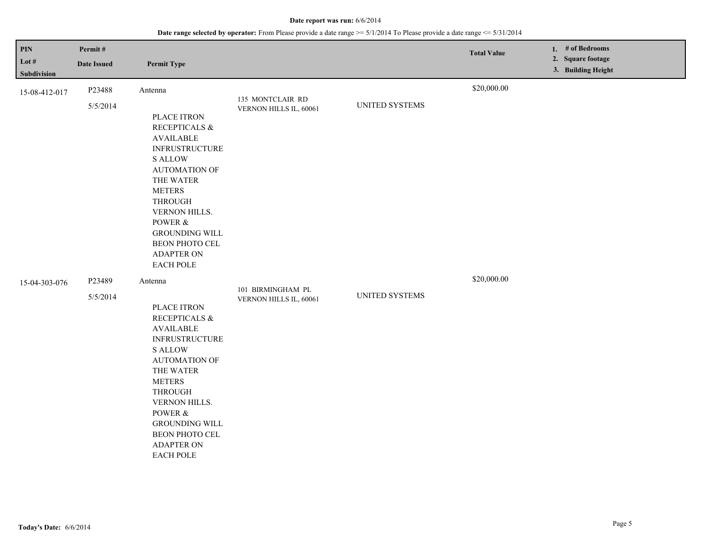| <b>PIN</b><br>Lot $#$<br>Subdivision | Permit#<br><b>Date Issued</b> | <b>Permit Type</b>                                                                                                                                                                                                                                                                             |                                             |                | <b>Total Value</b> | 1. # of Bedrooms<br>2. Square footage<br>3. Building Height |
|--------------------------------------|-------------------------------|------------------------------------------------------------------------------------------------------------------------------------------------------------------------------------------------------------------------------------------------------------------------------------------------|---------------------------------------------|----------------|--------------------|-------------------------------------------------------------|
| 15-08-412-017                        | P23488<br>5/5/2014            | Antenna<br>PLACE ITRON<br>RECEPTICALS &<br><b>AVAILABLE</b><br><b>INFRUSTRUCTURE</b><br><b>S ALLOW</b><br><b>AUTOMATION OF</b><br>THE WATER<br><b>METERS</b><br><b>THROUGH</b><br>VERNON HILLS.<br>POWER &<br><b>GROUNDING WILL</b><br>BEON PHOTO CEL<br><b>ADAPTER ON</b><br><b>EACH POLE</b> | 135 MONTCLAIR RD<br>VERNON HILLS IL, 60061  | UNITED SYSTEMS | \$20,000.00        |                                                             |
| 15-04-303-076                        | P23489<br>5/5/2014            | Antenna<br>PLACE ITRON<br>RECEPTICALS &<br><b>AVAILABLE</b><br><b>INFRUSTRUCTURE</b><br><b>S ALLOW</b><br><b>AUTOMATION OF</b><br>THE WATER<br><b>METERS</b><br><b>THROUGH</b><br>VERNON HILLS.<br>POWER &<br><b>GROUNDING WILL</b><br>BEON PHOTO CEL<br><b>ADAPTER ON</b><br>EACH POLE        | 101 BIRMINGHAM PL<br>VERNON HILLS IL, 60061 | UNITED SYSTEMS | \$20,000.00        |                                                             |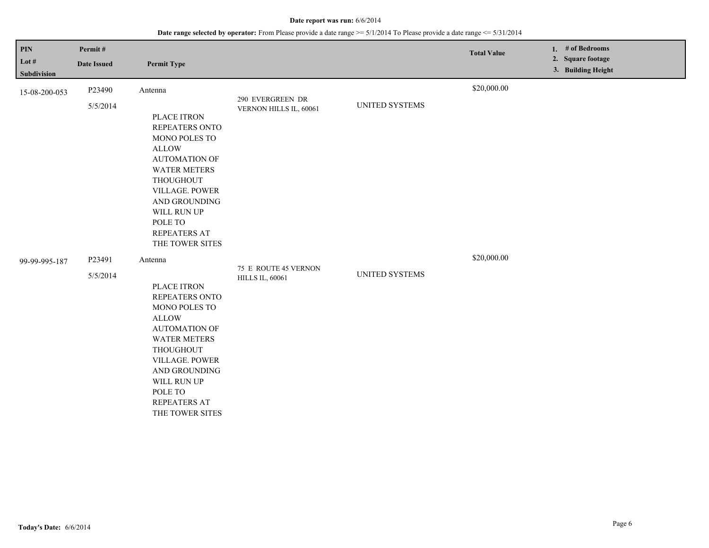| PIN<br>Lot $#$<br>Subdivision | Permit#<br><b>Date Issued</b> | <b>Permit Type</b>                                                                                                                                                                                                                           |                                                |                | <b>Total Value</b> | 1. # of Bedrooms<br>2. Square footage<br>3. Building Height |
|-------------------------------|-------------------------------|----------------------------------------------------------------------------------------------------------------------------------------------------------------------------------------------------------------------------------------------|------------------------------------------------|----------------|--------------------|-------------------------------------------------------------|
| 15-08-200-053                 | P23490<br>5/5/2014            | Antenna<br>PLACE ITRON<br>REPEATERS ONTO<br>MONO POLES TO<br><b>ALLOW</b><br><b>AUTOMATION OF</b><br><b>WATER METERS</b><br>THOUGHOUT<br>VILLAGE. POWER<br>AND GROUNDING<br>WILL RUN UP<br>POLE TO<br><b>REPEATERS AT</b><br>THE TOWER SITES | 290 EVERGREEN DR<br>VERNON HILLS IL, 60061     | UNITED SYSTEMS | \$20,000.00        |                                                             |
| 99-99-995-187                 | P23491<br>5/5/2014            | Antenna<br>PLACE ITRON<br>REPEATERS ONTO<br>MONO POLES TO<br><b>ALLOW</b><br><b>AUTOMATION OF</b><br><b>WATER METERS</b><br>THOUGHOUT<br>VILLAGE. POWER<br>AND GROUNDING<br>WILL RUN UP<br>POLE TO<br><b>REPEATERS AT</b><br>THE TOWER SITES | 75 E ROUTE 45 VERNON<br><b>HILLS IL, 60061</b> | UNITED SYSTEMS | \$20,000.00        |                                                             |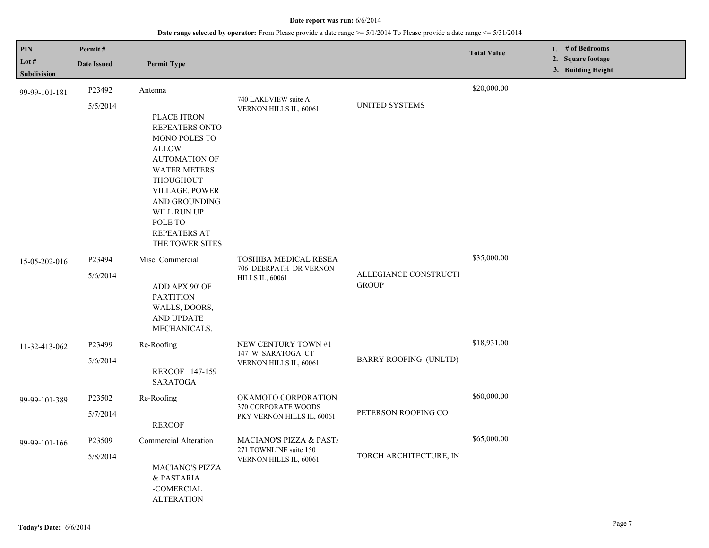| <b>PIN</b>           | Permit#            |                                                                                                                                                                                                                                                        |                                                                             |                                       | <b>Total Value</b> |                                         | 1. # of Bedrooms |  |
|----------------------|--------------------|--------------------------------------------------------------------------------------------------------------------------------------------------------------------------------------------------------------------------------------------------------|-----------------------------------------------------------------------------|---------------------------------------|--------------------|-----------------------------------------|------------------|--|
| Lot #<br>Subdivision | <b>Date Issued</b> | <b>Permit Type</b>                                                                                                                                                                                                                                     |                                                                             |                                       |                    | 2. Square footage<br>3. Building Height |                  |  |
| 99-99-101-181        | P23492             | Antenna                                                                                                                                                                                                                                                | 740 LAKEVIEW suite A                                                        |                                       | \$20,000.00        |                                         |                  |  |
|                      | 5/5/2014           | PLACE ITRON<br><b>REPEATERS ONTO</b><br><b>MONO POLES TO</b><br><b>ALLOW</b><br><b>AUTOMATION OF</b><br><b>WATER METERS</b><br><b>THOUGHOUT</b><br>VILLAGE. POWER<br>AND GROUNDING<br>WILL RUN UP<br>POLE TO<br><b>REPEATERS AT</b><br>THE TOWER SITES | VERNON HILLS IL, 60061                                                      | <b>UNITED SYSTEMS</b>                 |                    |                                         |                  |  |
| 15-05-202-016        | P23494<br>5/6/2014 | Misc. Commercial<br>ADD APX 90' OF<br><b>PARTITION</b><br>WALLS, DOORS,<br>AND UPDATE<br>MECHANICALS.                                                                                                                                                  | TOSHIBA MEDICAL RESEA<br>706 DEERPATH DR VERNON<br><b>HILLS IL, 60061</b>   | ALLEGIANCE CONSTRUCTI<br><b>GROUP</b> | \$35,000.00        |                                         |                  |  |
| 11-32-413-062        | P23499<br>5/6/2014 | Re-Roofing<br>REROOF 147-159<br><b>SARATOGA</b>                                                                                                                                                                                                        | NEW CENTURY TOWN #1<br>147 W SARATOGA CT<br>VERNON HILLS IL, 60061          | BARRY ROOFING (UNLTD)                 | \$18,931.00        |                                         |                  |  |
| 99-99-101-389        | P23502<br>5/7/2014 | Re-Roofing<br><b>REROOF</b>                                                                                                                                                                                                                            | OKAMOTO CORPORATION<br>370 CORPORATE WOODS<br>PKY VERNON HILLS IL, 60061    | PETERSON ROOFING CO                   | \$60,000.00        |                                         |                  |  |
| 99-99-101-166        | P23509<br>5/8/2014 | Commercial Alteration<br><b>MACIANO'S PIZZA</b><br>& PASTARIA<br>-COMERCIAL<br><b>ALTERATION</b>                                                                                                                                                       | MACIANO'S PIZZA & PAST/<br>271 TOWNLINE suite 150<br>VERNON HILLS IL, 60061 | TORCH ARCHITECTURE, IN                | \$65,000.00        |                                         |                  |  |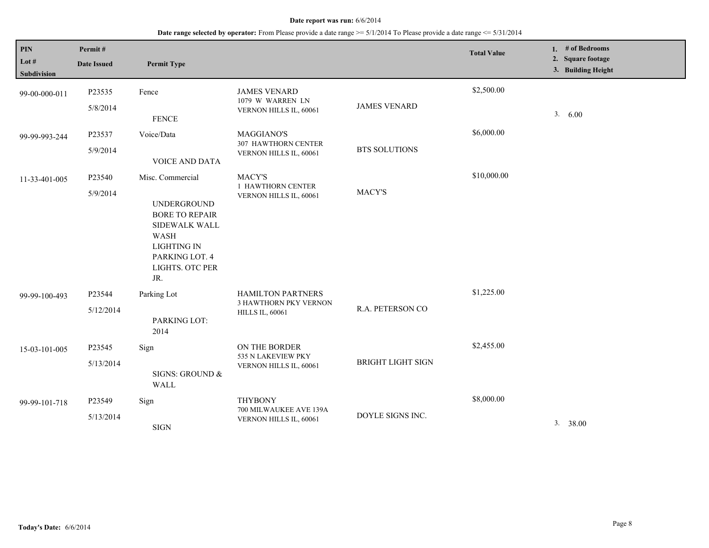| $\mathbf{PIN}$<br>Lot #<br>Subdivision | Permit#<br><b>Date Issued</b> | <b>Permit Type</b>                                                                                                                                                |                                                                      |                          | <b>Total Value</b> | 1. $#$ of Bedrooms<br>2. Square footage<br>3. Building Height |
|----------------------------------------|-------------------------------|-------------------------------------------------------------------------------------------------------------------------------------------------------------------|----------------------------------------------------------------------|--------------------------|--------------------|---------------------------------------------------------------|
| 99-00-000-011                          | P23535<br>5/8/2014            | Fence<br><b>FENCE</b>                                                                                                                                             | <b>JAMES VENARD</b><br>1079 W WARREN LN<br>VERNON HILLS IL, 60061    | <b>JAMES VENARD</b>      | \$2,500.00         | 3. 6.00                                                       |
| 99-99-993-244                          | P23537<br>5/9/2014            | Voice/Data<br>VOICE AND DATA                                                                                                                                      | <b>MAGGIANO'S</b><br>307 HAWTHORN CENTER<br>VERNON HILLS IL, 60061   | <b>BTS SOLUTIONS</b>     | \$6,000.00         |                                                               |
| 11-33-401-005                          | P23540<br>5/9/2014            | Misc. Commercial<br><b>UNDERGROUND</b><br><b>BORE TO REPAIR</b><br>SIDEWALK WALL<br><b>WASH</b><br><b>LIGHTING IN</b><br>PARKING LOT. 4<br>LIGHTS. OTC PER<br>JR. | MACY'S<br>1 HAWTHORN CENTER<br>VERNON HILLS IL, 60061                | MACY'S                   | \$10,000.00        |                                                               |
| 99-99-100-493                          | P23544<br>5/12/2014           | Parking Lot<br>PARKING LOT:<br>2014                                                                                                                               | HAMILTON PARTNERS<br>3 HAWTHORN PKY VERNON<br><b>HILLS IL, 60061</b> | R.A. PETERSON CO         | \$1,225.00         |                                                               |
| 15-03-101-005                          | P23545<br>5/13/2014           | Sign<br>SIGNS: GROUND &<br>WALL                                                                                                                                   | ON THE BORDER<br>535 N LAKEVIEW PKY<br>VERNON HILLS IL, 60061        | <b>BRIGHT LIGHT SIGN</b> | \$2,455.00         |                                                               |
| 99-99-101-718                          | P23549<br>5/13/2014           | Sign<br><b>SIGN</b>                                                                                                                                               | <b>THYBONY</b><br>700 MILWAUKEE AVE 139A<br>VERNON HILLS IL, 60061   | DOYLE SIGNS INC.         | \$8,000.00         | 3. 38.00                                                      |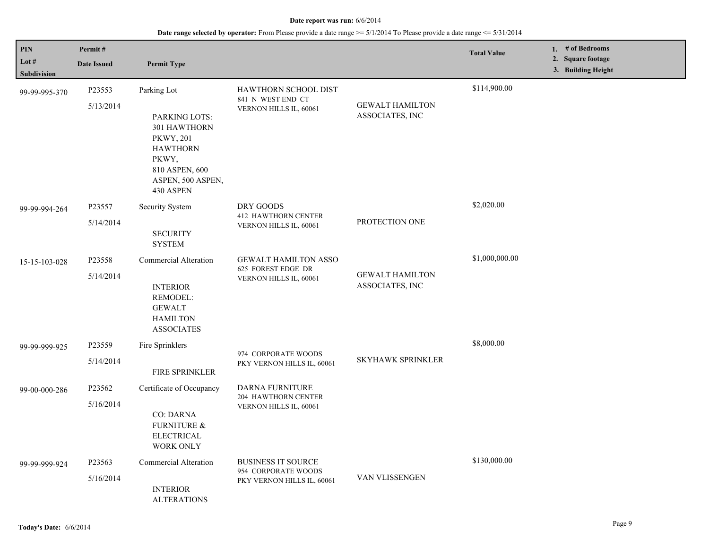| PIN                  | Permit#             |                                                                                                                                                  |                                                                                |                                           | <b>Total Value</b> | 1. # of Bedrooms                        |
|----------------------|---------------------|--------------------------------------------------------------------------------------------------------------------------------------------------|--------------------------------------------------------------------------------|-------------------------------------------|--------------------|-----------------------------------------|
| Lot #<br>Subdivision | <b>Date Issued</b>  | <b>Permit Type</b>                                                                                                                               |                                                                                |                                           |                    | 2. Square footage<br>3. Building Height |
| 99-99-995-370        | P23553<br>5/13/2014 | Parking Lot<br>PARKING LOTS:<br>301 HAWTHORN<br><b>PKWY, 201</b><br><b>HAWTHORN</b><br>PKWY,<br>810 ASPEN, 600<br>ASPEN, 500 ASPEN,<br>430 ASPEN | HAWTHORN SCHOOL DIST<br>841 N WEST END CT<br>VERNON HILLS IL, 60061            | <b>GEWALT HAMILTON</b><br>ASSOCIATES, INC | \$114,900.00       |                                         |
| 99-99-994-264        | P23557<br>5/14/2014 | <b>Security System</b><br><b>SECURITY</b><br><b>SYSTEM</b>                                                                                       | DRY GOODS<br><b>412 HAWTHORN CENTER</b><br>VERNON HILLS IL, 60061              | PROTECTION ONE                            | \$2,020.00         |                                         |
| 15-15-103-028        | P23558<br>5/14/2014 | Commercial Alteration<br><b>INTERIOR</b><br>REMODEL:<br><b>GEWALT</b><br><b>HAMILTON</b><br><b>ASSOCIATES</b>                                    | <b>GEWALT HAMILTON ASSO</b><br>625 FOREST EDGE DR<br>VERNON HILLS IL, 60061    | <b>GEWALT HAMILTON</b><br>ASSOCIATES, INC | \$1,000,000.00     |                                         |
| 99-99-999-925        | P23559<br>5/14/2014 | Fire Sprinklers<br>FIRE SPRINKLER                                                                                                                | 974 CORPORATE WOODS<br>PKY VERNON HILLS IL, 60061                              | SKYHAWK SPRINKLER                         | \$8,000.00         |                                         |
| 99-00-000-286        | P23562<br>5/16/2014 | Certificate of Occupancy<br><b>CO: DARNA</b><br><b>FURNITURE &amp;</b><br><b>ELECTRICAL</b><br><b>WORK ONLY</b>                                  | DARNA FURNITURE<br><b>204 HAWTHORN CENTER</b><br>VERNON HILLS IL, 60061        |                                           |                    |                                         |
| 99-99-999-924        | P23563<br>5/16/2014 | Commercial Alteration<br><b>INTERIOR</b><br><b>ALTERATIONS</b>                                                                                   | <b>BUSINESS IT SOURCE</b><br>954 CORPORATE WOODS<br>PKY VERNON HILLS IL, 60061 | VAN VLISSENGEN                            | \$130,000.00       |                                         |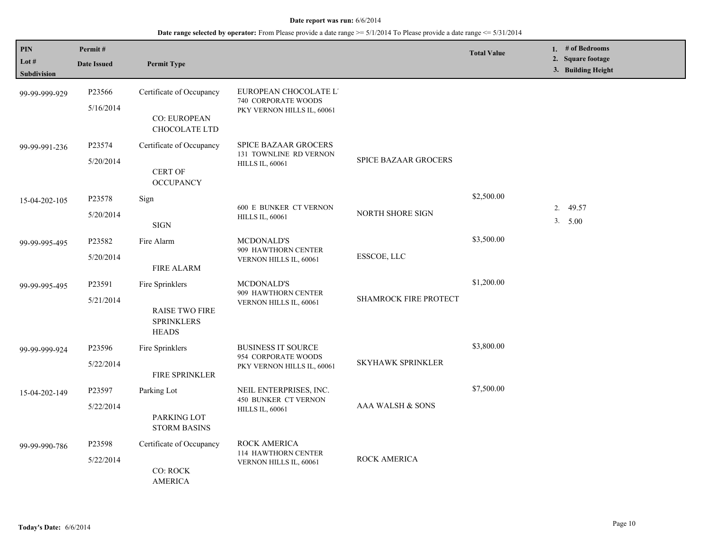| <b>PIN</b><br>Lot $#$<br><b>Subdivision</b> | Permit#<br><b>Date Issued</b>   | <b>Permit Type</b>                                                            |                                                                                 |                              | <b>Total Value</b> | 1. # of Bedrooms<br>2. Square footage<br>3. Building Height |
|---------------------------------------------|---------------------------------|-------------------------------------------------------------------------------|---------------------------------------------------------------------------------|------------------------------|--------------------|-------------------------------------------------------------|
| 99-99-999-929                               | P23566<br>5/16/2014             | Certificate of Occupancy<br><b>CO: EUROPEAN</b><br>CHOCOLATE LTD              | EUROPEAN CHOCOLATE L'<br>740 CORPORATE WOODS<br>PKY VERNON HILLS IL, 60061      |                              |                    |                                                             |
| 99-99-991-236                               | P23574<br>5/20/2014             | Certificate of Occupancy<br><b>CERT OF</b><br><b>OCCUPANCY</b>                | <b>SPICE BAZAAR GROCERS</b><br>131 TOWNLINE RD VERNON<br><b>HILLS IL, 60061</b> | <b>SPICE BAZAAR GROCERS</b>  |                    |                                                             |
| 15-04-202-105                               | P23578<br>5/20/2014             | Sign<br>$_{\rm{SIGN}}$                                                        | <b>600 E BUNKER CT VERNON</b><br><b>HILLS IL, 60061</b>                         | NORTH SHORE SIGN             | \$2,500.00         | 2.<br>49.57<br>3. 5.00                                      |
| 99-99-995-495                               | P23582<br>5/20/2014             | Fire Alarm<br><b>FIRE ALARM</b>                                               | <b>MCDONALD'S</b><br>909 HAWTHORN CENTER<br>VERNON HILLS IL, 60061              | ESSCOE, LLC                  | \$3,500.00         |                                                             |
| 99-99-995-495                               | P23591<br>5/21/2014             | Fire Sprinklers<br><b>RAISE TWO FIRE</b><br><b>SPRINKLERS</b><br><b>HEADS</b> | <b>MCDONALD'S</b><br>909 HAWTHORN CENTER<br>VERNON HILLS IL, 60061              | <b>SHAMROCK FIRE PROTECT</b> | \$1,200.00         |                                                             |
| 99-99-999-924                               | P <sub>23596</sub><br>5/22/2014 | Fire Sprinklers<br><b>FIRE SPRINKLER</b>                                      | <b>BUSINESS IT SOURCE</b><br>954 CORPORATE WOODS<br>PKY VERNON HILLS IL, 60061  | <b>SKYHAWK SPRINKLER</b>     | \$3,800.00         |                                                             |
| 15-04-202-149                               | P23597<br>5/22/2014             | Parking Lot<br>PARKING LOT<br><b>STORM BASINS</b>                             | NEIL ENTERPRISES, INC.<br><b>450 BUNKER CT VERNON</b><br><b>HILLS IL, 60061</b> | AAA WALSH & SONS             | \$7,500.00         |                                                             |
| 99-99-990-786                               | P23598<br>5/22/2014             | Certificate of Occupancy<br><b>CO: ROCK</b><br><b>AMERICA</b>                 | <b>ROCK AMERICA</b><br>114 HAWTHORN CENTER<br>VERNON HILLS IL, 60061            | ROCK AMERICA                 |                    |                                                             |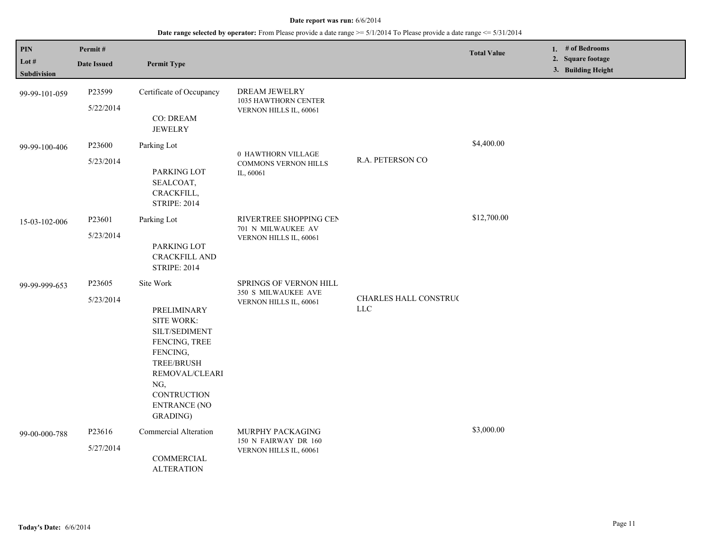| PIN<br>Lot $#$<br><b>Subdivision</b> | Permit#<br><b>Date Issued</b> | <b>Permit Type</b>                                                                                                                                                                                 |                                                                         |                                     | <b>Total Value</b> | 1. # of Bedrooms<br>2. Square footage<br>3. Building Height |
|--------------------------------------|-------------------------------|----------------------------------------------------------------------------------------------------------------------------------------------------------------------------------------------------|-------------------------------------------------------------------------|-------------------------------------|--------------------|-------------------------------------------------------------|
| 99-99-101-059                        | P23599<br>5/22/2014           | Certificate of Occupancy<br><b>CO: DREAM</b><br><b>JEWELRY</b>                                                                                                                                     | <b>DREAM JEWELRY</b><br>1035 HAWTHORN CENTER<br>VERNON HILLS IL, 60061  |                                     |                    |                                                             |
| 99-99-100-406                        | P23600<br>5/23/2014           | Parking Lot<br>PARKING LOT<br>SEALCOAT,<br>CRACKFILL,<br><b>STRIPE: 2014</b>                                                                                                                       | 0 HAWTHORN VILLAGE<br><b>COMMONS VERNON HILLS</b><br>IL, 60061          | R.A. PETERSON CO                    | \$4,400.00         |                                                             |
| 15-03-102-006                        | P23601<br>5/23/2014           | Parking Lot<br>PARKING LOT<br><b>CRACKFILL AND</b><br><b>STRIPE: 2014</b>                                                                                                                          | RIVERTREE SHOPPING CEN<br>701 N MILWAUKEE AV<br>VERNON HILLS IL, 60061  |                                     | \$12,700.00        |                                                             |
| 99-99-999-653                        | P23605<br>5/23/2014           | Site Work<br>PRELIMINARY<br><b>SITE WORK:</b><br>SILT/SEDIMENT<br>FENCING, TREE<br>FENCING,<br><b>TREE/BRUSH</b><br>REMOVAL/CLEARI<br>NG,<br><b>CONTRUCTION</b><br><b>ENTRANCE (NO</b><br>GRADING) | SPRINGS OF VERNON HILL<br>350 S MILWAUKEE AVE<br>VERNON HILLS IL, 60061 | CHARLES HALL CONSTRUC<br><b>LLC</b> |                    |                                                             |
| 99-00-000-788                        | P23616<br>5/27/2014           | Commercial Alteration<br>COMMERCIAL<br><b>ALTERATION</b>                                                                                                                                           | MURPHY PACKAGING<br>150 N FAIRWAY DR 160<br>VERNON HILLS IL, 60061      |                                     | \$3,000.00         |                                                             |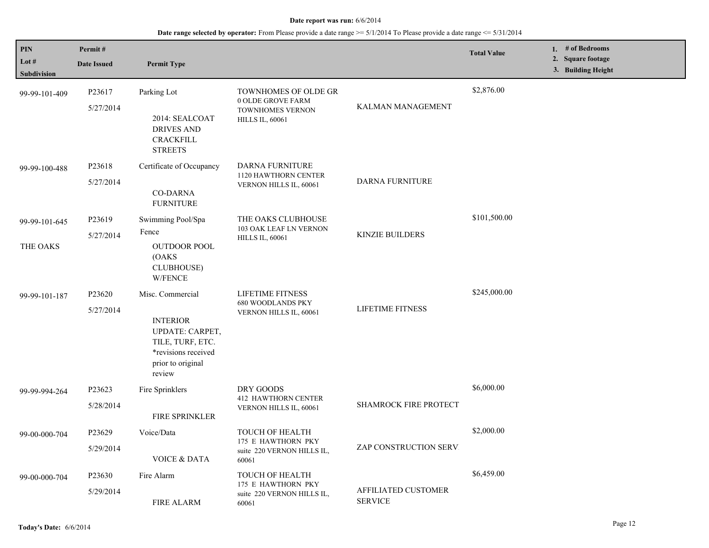| PIN<br>Lot $#$ | Permit#            |                                                                                                                     |                                                                        |                                       | <b>Total Value</b> | 1. # of Bedrooms<br>2. Square footage |
|----------------|--------------------|---------------------------------------------------------------------------------------------------------------------|------------------------------------------------------------------------|---------------------------------------|--------------------|---------------------------------------|
| Subdivision    | <b>Date Issued</b> | <b>Permit Type</b>                                                                                                  |                                                                        |                                       |                    | 3. Building Height                    |
| 99-99-101-409  | P23617             | Parking Lot                                                                                                         | TOWNHOMES OF OLDE GR<br>0 OLDE GROVE FARM                              |                                       | \$2,876.00         |                                       |
|                | 5/27/2014          | 2014: SEALCOAT<br><b>DRIVES AND</b><br><b>CRACKFILL</b><br><b>STREETS</b>                                           | <b>TOWNHOMES VERNON</b><br><b>HILLS IL, 60061</b>                      | KALMAN MANAGEMENT                     |                    |                                       |
| 99-99-100-488  | P23618             | Certificate of Occupancy                                                                                            | DARNA FURNITURE<br>1120 HAWTHORN CENTER                                |                                       |                    |                                       |
|                | 5/27/2014          | <b>CO-DARNA</b><br><b>FURNITURE</b>                                                                                 | VERNON HILLS IL, 60061                                                 | <b>DARNA FURNITURE</b>                |                    |                                       |
| 99-99-101-645  | P23619             | Swimming Pool/Spa                                                                                                   | THE OAKS CLUBHOUSE                                                     |                                       | \$101,500.00       |                                       |
|                | 5/27/2014          | Fence                                                                                                               | 103 OAK LEAF LN VERNON<br><b>HILLS IL, 60061</b>                       | KINZIE BUILDERS                       |                    |                                       |
| THE OAKS       |                    | <b>OUTDOOR POOL</b><br>(OAKS)<br><b>CLUBHOUSE)</b><br><b>W/FENCE</b>                                                |                                                                        |                                       |                    |                                       |
| 99-99-101-187  | P23620             | Misc. Commercial                                                                                                    | LIFETIME FITNESS<br><b>680 WOODLANDS PKY</b><br>VERNON HILLS IL, 60061 |                                       | \$245,000.00       |                                       |
|                | 5/27/2014          | <b>INTERIOR</b><br><b>UPDATE: CARPET,</b><br>TILE, TURF, ETC.<br>*revisions received<br>prior to original<br>review |                                                                        | LIFETIME FITNESS                      |                    |                                       |
| 99-99-994-264  | P23623             | Fire Sprinklers                                                                                                     | DRY GOODS<br><b>412 HAWTHORN CENTER</b>                                |                                       | \$6,000.00         |                                       |
|                | 5/28/2014          | <b>FIRE SPRINKLER</b>                                                                                               | VERNON HILLS IL, 60061                                                 | SHAMROCK FIRE PROTECT                 |                    |                                       |
| 99-00-000-704  | P23629             | Voice/Data                                                                                                          | TOUCH OF HEALTH                                                        |                                       | \$2,000.00         |                                       |
|                | 5/29/2014          | <b>VOICE &amp; DATA</b>                                                                                             | 175 E HAWTHORN PKY<br>suite 220 VERNON HILLS IL,<br>60061              | ZAP CONSTRUCTION SERV.                |                    |                                       |
| 99-00-000-704  | P <sub>23630</sub> | Fire Alarm                                                                                                          | TOUCH OF HEALTH<br>175 E HAWTHORN PKY                                  |                                       | \$6,459.00         |                                       |
|                | 5/29/2014          | <b>FIRE ALARM</b>                                                                                                   | suite 220 VERNON HILLS IL,<br>60061                                    | AFFILIATED CUSTOMER<br><b>SERVICE</b> |                    |                                       |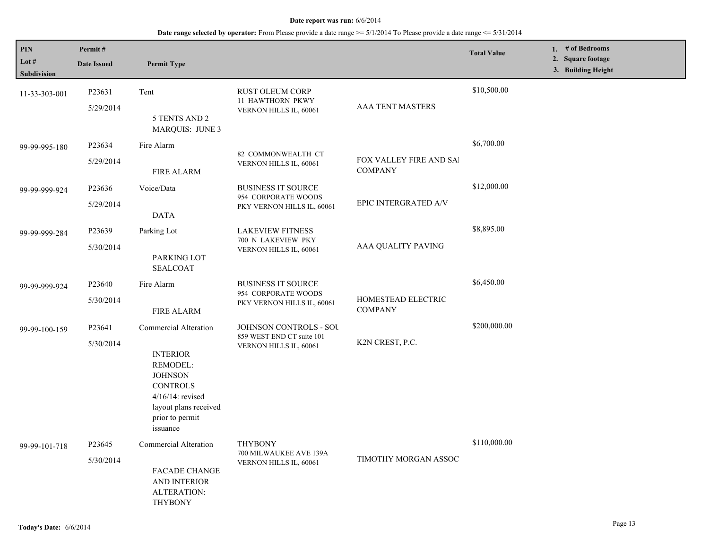| <b>PIN</b><br>Lot $#$<br><b>Subdivision</b> | Permit#<br><b>Date Issued</b>   | <b>Permit Type</b>                                                                                                                                                       |                                                                                |                                                  | <b>Total Value</b> | 1. # of Bedrooms<br>2. Square footage<br>3. Building Height |
|---------------------------------------------|---------------------------------|--------------------------------------------------------------------------------------------------------------------------------------------------------------------------|--------------------------------------------------------------------------------|--------------------------------------------------|--------------------|-------------------------------------------------------------|
| 11-33-303-001                               | P23631<br>5/29/2014             | Tent<br>5 TENTS AND 2<br><b>MARQUIS: JUNE 3</b>                                                                                                                          | RUST OLEUM CORP<br>11 HAWTHORN PKWY<br>VERNON HILLS IL, 60061                  | <b>AAA TENT MASTERS</b>                          | \$10,500.00        |                                                             |
| 99-99-995-180                               | P23634<br>5/29/2014             | Fire Alarm<br>FIRE ALARM                                                                                                                                                 | 82 COMMONWEALTH CT<br>VERNON HILLS IL, 60061                                   | <b>FOX VALLEY FIRE AND SAI</b><br><b>COMPANY</b> | \$6,700.00         |                                                             |
| 99-99-999-924                               | P23636<br>5/29/2014             | Voice/Data<br><b>DATA</b>                                                                                                                                                | <b>BUSINESS IT SOURCE</b><br>954 CORPORATE WOODS<br>PKY VERNON HILLS IL, 60061 | EPIC INTERGRATED A/V                             | \$12,000.00        |                                                             |
| 99-99-999-284                               | P23639<br>5/30/2014             | Parking Lot<br>PARKING LOT<br><b>SEALCOAT</b>                                                                                                                            | <b>LAKEVIEW FITNESS</b><br>700 N LAKEVIEW PKY<br>VERNON HILLS IL, 60061        | AAA QUALITY PAVING                               | \$8,895.00         |                                                             |
| 99-99-999-924                               | P <sub>23640</sub><br>5/30/2014 | Fire Alarm<br><b>FIRE ALARM</b>                                                                                                                                          | <b>BUSINESS IT SOURCE</b><br>954 CORPORATE WOODS<br>PKY VERNON HILLS IL, 60061 | HOMESTEAD ELECTRIC<br><b>COMPANY</b>             | \$6,450.00         |                                                             |
| 99-99-100-159                               | P23641<br>5/30/2014             | Commercial Alteration<br><b>INTERIOR</b><br>REMODEL:<br><b>JOHNSON</b><br><b>CONTROLS</b><br>$4/16/14$ : revised<br>layout plans received<br>prior to permit<br>issuance | JOHNSON CONTROLS - SOU<br>859 WEST END CT suite 101<br>VERNON HILLS IL, 60061  | K2N CREST, P.C.                                  | \$200,000.00       |                                                             |
| 99-99-101-718                               | P23645<br>5/30/2014             | Commercial Alteration<br><b>FACADE CHANGE</b><br>AND INTERIOR<br>ALTERATION:<br><b>THYBONY</b>                                                                           | <b>THYBONY</b><br>700 MILWAUKEE AVE 139A<br>VERNON HILLS IL, 60061             | TIMOTHY MORGAN ASSOC                             | \$110,000.00       |                                                             |